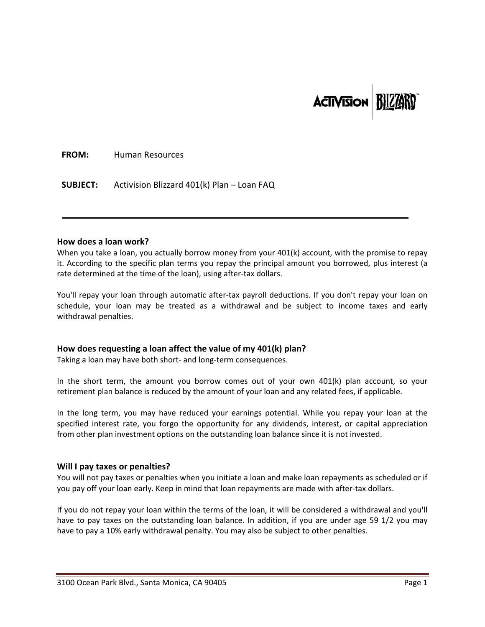# **ACTIVISION**

**FROM:** Human Resources

**SUBJECT:** Activision Blizzard 401(k) Plan – Loan FAQ

#### **How does a loan work?**

When you take a loan, you actually borrow money from your 401(k) account, with the promise to repay it. According to the specific plan terms you repay the principal amount you borrowed, plus interest (a rate determined at the time of the loan), using after-tax dollars.

 $\blacksquare$ 

You'll repay your loan through automatic after-tax payroll deductions. If you don't repay your loan on schedule, your loan may be treated as a withdrawal and be subject to income taxes and early withdrawal penalties.

## **How does requesting a loan affect the value of my 401(k) plan?**

Taking a loan may have both short‐ and long‐term consequences.

In the short term, the amount you borrow comes out of your own 401(k) plan account, so your retirement plan balance is reduced by the amount of your loan and any related fees, if applicable.

In the long term, you may have reduced your earnings potential. While you repay your loan at the specified interest rate, you forgo the opportunity for any dividends, interest, or capital appreciation from other plan investment options on the outstanding loan balance since it is not invested.

## **Will I pay taxes or penalties?**

You will not pay taxes or penalties when you initiate a loan and make loan repayments as scheduled or if you pay off your loan early. Keep in mind that loan repayments are made with after‐tax dollars.

If you do not repay your loan within the terms of the loan, it will be considered a withdrawal and you'll have to pay taxes on the outstanding loan balance. In addition, if you are under age 59 1/2 you may have to pay a 10% early withdrawal penalty. You may also be subject to other penalties.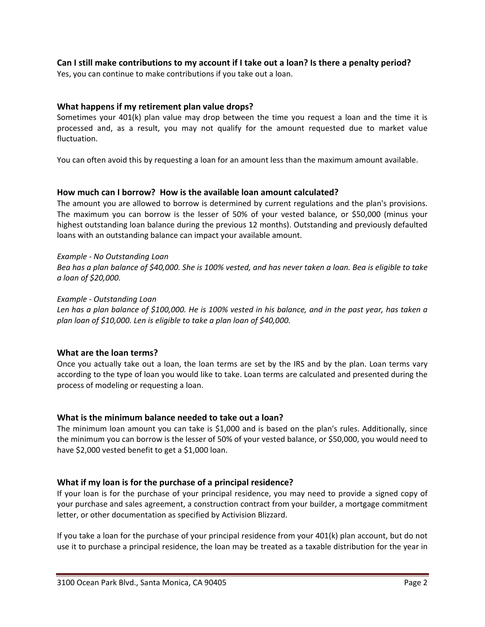## Can I still make contributions to my account if I take out a loan? Is there a penalty period?

Yes, you can continue to make contributions if you take out a loan.

## **What happens if my retirement plan value drops?**

Sometimes your 401(k) plan value may drop between the time you request a loan and the time it is processed and, as a result, you may not qualify for the amount requested due to market value fluctuation.

You can often avoid this by requesting a loan for an amount less than the maximum amount available.

## **How much can I borrow? How is the available loan amount calculated?**

The amount you are allowed to borrow is determined by current regulations and the plan's provisions. The maximum you can borrow is the lesser of 50% of your vested balance, or \$50,000 (minus your highest outstanding loan balance during the previous 12 months). Outstanding and previously defaulted loans with an outstanding balance can impact your available amount.

## *Example ‐ No Outstanding Loan*

Bea has a plan balance of \$40,000. She is 100% vested, and has never taken a loan. Bea is eligible to take *a loan of \$20,000.*

#### *Example ‐ Outstanding Loan*

Len has a plan balance of \$100,000. He is 100% vested in his balance, and in the past year, has taken a *plan loan of \$10,000. Len is eligible to take a plan loan of \$40,000.*

## **What are the loan terms?**

Once you actually take out a loan, the loan terms are set by the IRS and by the plan. Loan terms vary according to the type of loan you would like to take. Loan terms are calculated and presented during the process of modeling or requesting a loan.

## **What is the minimum balance needed to take out a loan?**

The minimum loan amount you can take is \$1,000 and is based on the plan's rules. Additionally, since the minimum you can borrow is the lesser of 50% of your vested balance, or \$50,000, you would need to have \$2,000 vested benefit to get a \$1,000 loan.

## **What if my loan is for the purchase of a principal residence?**

If your loan is for the purchase of your principal residence, you may need to provide a signed copy of your purchase and sales agreement, a construction contract from your builder, a mortgage commitment letter, or other documentation as specified by Activision Blizzard.

If you take a loan for the purchase of your principal residence from your 401(k) plan account, but do not use it to purchase a principal residence, the loan may be treated as a taxable distribution for the year in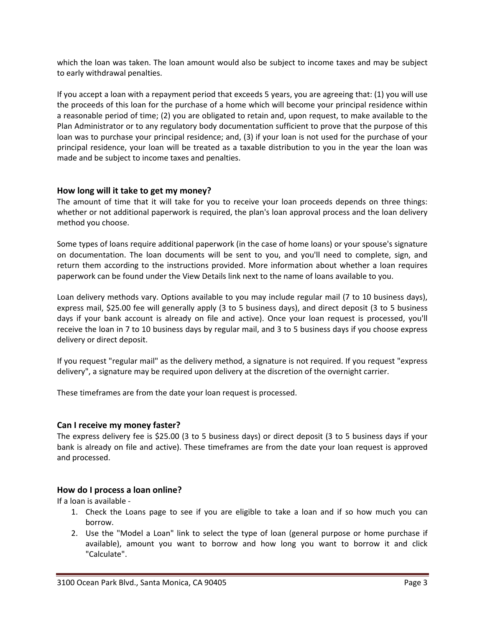which the loan was taken. The loan amount would also be subject to income taxes and may be subject to early withdrawal penalties.

If you accept a loan with a repayment period that exceeds 5 years, you are agreeing that: (1) you will use the proceeds of this loan for the purchase of a home which will become your principal residence within a reasonable period of time; (2) you are obligated to retain and, upon request, to make available to the Plan Administrator or to any regulatory body documentation sufficient to prove that the purpose of this loan was to purchase your principal residence; and, (3) if your loan is not used for the purchase of your principal residence, your loan will be treated as a taxable distribution to you in the year the loan was made and be subject to income taxes and penalties.

## **How long will it take to get my money?**

The amount of time that it will take for you to receive your loan proceeds depends on three things: whether or not additional paperwork is required, the plan's loan approval process and the loan delivery method you choose.

Some types of loans require additional paperwork (in the case of home loans) or your spouse's signature on documentation. The loan documents will be sent to you, and you'll need to complete, sign, and return them according to the instructions provided. More information about whether a loan requires paperwork can be found under the View Details link next to the name of loans available to you.

Loan delivery methods vary. Options available to you may include regular mail (7 to 10 business days), express mail, \$25.00 fee will generally apply (3 to 5 business days), and direct deposit (3 to 5 business days if your bank account is already on file and active). Once your loan request is processed, you'll receive the loan in 7 to 10 business days by regular mail, and 3 to 5 business days if you choose express delivery or direct deposit.

If you request "regular mail" as the delivery method, a signature is not required. If you request "express delivery", a signature may be required upon delivery at the discretion of the overnight carrier.

These timeframes are from the date your loan request is processed.

## **Can I receive my money faster?**

The express delivery fee is \$25.00 (3 to 5 business days) or direct deposit (3 to 5 business days if your bank is already on file and active). These timeframes are from the date your loan request is approved and processed.

## **How do I process a loan online?**

If a loan is available ‐

- 1. Check the Loans page to see if you are eligible to take a loan and if so how much you can borrow.
- 2. Use the "Model a Loan" link to select the type of loan (general purpose or home purchase if available), amount you want to borrow and how long you want to borrow it and click "Calculate".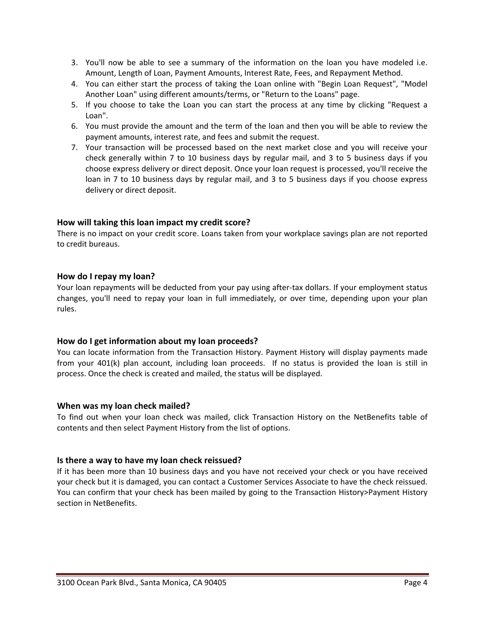- 3. You'll now be able to see a summary of the information on the loan you have modeled i.e. Amount, Length of Loan, Payment Amounts, Interest Rate, Fees, and Repayment Method.
- 4. You can either start the process of taking the Loan online with "Begin Loan Request", "Model Another Loan" using different amounts/terms, or "Return to the Loans" page.
- 5. If you choose to take the Loan you can start the process at any time by clicking "Request a Loan".
- 6. You must provide the amount and the term of the loan and then you will be able to review the payment amounts, interest rate, and fees and submit the request.
- 7. Your transaction will be processed based on the next market close and you will receive your check generally within 7 to 10 business days by regular mail, and 3 to 5 business days if you choose express delivery or direct deposit. Once your loan request is processed, you'll receive the loan in 7 to 10 business days by regular mail, and 3 to 5 business days if you choose express delivery or direct deposit.

## **How will taking this loan impact my credit score?**

There is no impact on your credit score. Loans taken from your workplace savings plan are not reported to credit bureaus.

## **How do I repay my loan?**

Your loan repayments will be deducted from your pay using after-tax dollars. If your employment status changes, you'll need to repay your loan in full immediately, or over time, depending upon your plan rules.

## **How do I get information about my loan proceeds?**

You can locate information from the Transaction History. Payment History will display payments made from your 401(k) plan account, including loan proceeds. If no status is provided the loan is still in process. Once the check is created and mailed, the status will be displayed.

## **When was my loan check mailed?**

To find out when your loan check was mailed, click Transaction History on the NetBenefits table of contents and then select Payment History from the list of options.

## **Is there a way to have my loan check reissued?**

If it has been more than 10 business days and you have not received your check or you have received your check but it is damaged, you can contact a Customer Services Associate to have the check reissued. You can confirm that your check has been mailed by going to the Transaction History>Payment History section in NetBenefits.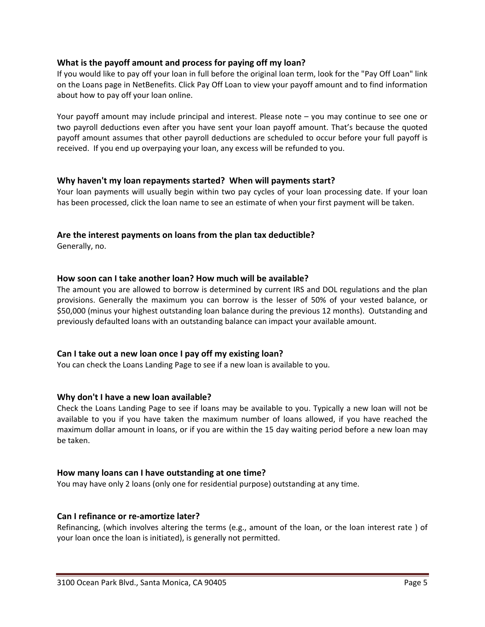## **What is the payoff amount and process for paying off my loan?**

If you would like to pay off your loan in full before the original loan term, look for the "Pay Off Loan" link on the Loans page in NetBenefits. Click Pay Off Loan to view your payoff amount and to find information about how to pay off your loan online.

Your payoff amount may include principal and interest. Please note – you may continue to see one or two payroll deductions even after you have sent your loan payoff amount. That's because the quoted payoff amount assumes that other payroll deductions are scheduled to occur before your full payoff is received. If you end up overpaying your loan, any excess will be refunded to you.

## **Why haven't my loan repayments started? When will payments start?**

Your loan payments will usually begin within two pay cycles of your loan processing date. If your loan has been processed, click the loan name to see an estimate of when your first payment will be taken.

## **Are the interest payments on loans from the plan tax deductible?**

Generally, no.

## **How soon can I take another loan? How much will be available?**

The amount you are allowed to borrow is determined by current IRS and DOL regulations and the plan provisions. Generally the maximum you can borrow is the lesser of 50% of your vested balance, or \$50,000 (minus your highest outstanding loan balance during the previous 12 months). Outstanding and previously defaulted loans with an outstanding balance can impact your available amount.

## **Can I take out a new loan once I pay off my existing loan?**

You can check the Loans Landing Page to see if a new loan is available to you.

## **Why don't I have a new loan available?**

Check the Loans Landing Page to see if loans may be available to you. Typically a new loan will not be available to you if you have taken the maximum number of loans allowed, if you have reached the maximum dollar amount in loans, or if you are within the 15 day waiting period before a new loan may be taken.

## **How many loans can I have outstanding at one time?**

You may have only 2 loans (only one for residential purpose) outstanding at any time.

## **Can I refinance or re‐amortize later?**

Refinancing, (which involves altering the terms (e.g., amount of the loan, or the loan interest rate ) of your loan once the loan is initiated), is generally not permitted.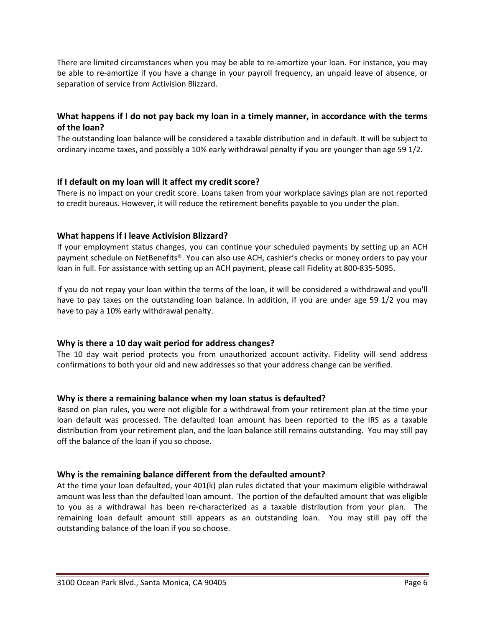There are limited circumstances when you may be able to re-amortize your loan. For instance, you may be able to re-amortize if you have a change in your payroll frequency, an unpaid leave of absence, or separation of service from Activision Blizzard.

## **What happens if I do not pay back my loan in a timely manner, in accordance with the terms of the loan?**

The outstanding loan balance will be considered a taxable distribution and in default. It will be subject to ordinary income taxes, and possibly a 10% early withdrawal penalty if you are younger than age 59 1/2.

## **If I default on my loan will it affect my credit score?**

There is no impact on your credit score. Loans taken from your workplace savings plan are not reported to credit bureaus. However, it will reduce the retirement benefits payable to you under the plan.

## **What happens if I leave Activision Blizzard?**

If your employment status changes, you can continue your scheduled payments by setting up an ACH payment schedule on NetBenefits®. You can also use ACH, cashier's checks or money orders to pay your loan in full. For assistance with setting up an ACH payment, please call Fidelity at 800‐835‐5095.

If you do not repay your loan within the terms of the loan, it will be considered a withdrawal and you'll have to pay taxes on the outstanding loan balance. In addition, if you are under age 59 1/2 you may have to pay a 10% early withdrawal penalty.

## **Why is there a 10 day wait period for address changes?**

The 10 day wait period protects you from unauthorized account activity. Fidelity will send address confirmations to both your old and new addresses so that your address change can be verified.

## **Why is there a remaining balance when my loan status is defaulted?**

Based on plan rules, you were not eligible for a withdrawal from your retirement plan at the time your loan default was processed. The defaulted loan amount has been reported to the IRS as a taxable distribution from your retirement plan, and the loan balance still remains outstanding. You may still pay off the balance of the loan if you so choose.

## **Why is the remaining balance different from the defaulted amount?**

At the time your loan defaulted, your 401(k) plan rules dictated that your maximum eligible withdrawal amount was less than the defaulted loan amount. The portion of the defaulted amount that was eligible to you as a withdrawal has been re‐characterized as a taxable distribution from your plan. The remaining loan default amount still appears as an outstanding loan. You may still pay off the outstanding balance of the loan if you so choose.